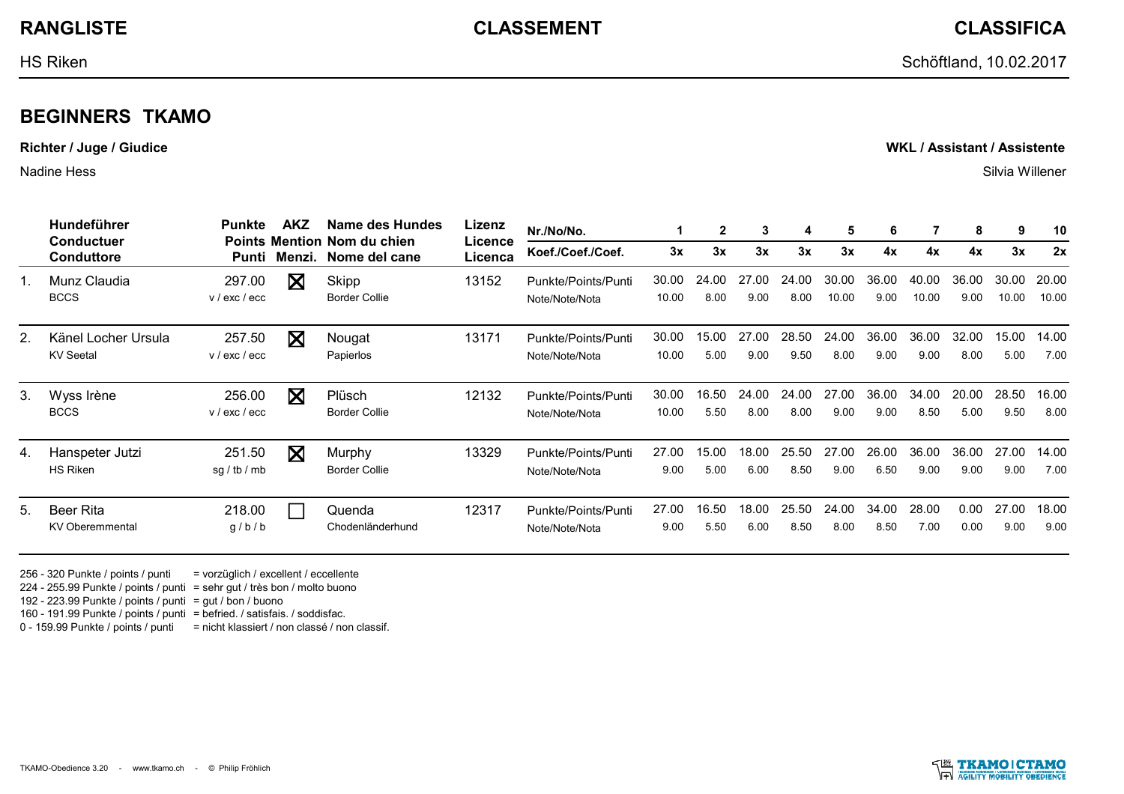TKAMO-Obedience 3.20 - www.tkamo.ch - © Philip Fröhlich

## **BEGINNERS TKAMO**

**Richter / Juge / Giudice WKL / Assistant / Assistente**

Nadine Hess Silvia Willener

 $1<sub>l</sub>$ 

 $3<sub>l</sub>$ 

 $5.$ 

|    | Hundeführer<br><b>Conductuer</b><br><b>Conduttore</b> | Punkte                  | <b>AKZ</b>   | Name des Hundes<br><b>Points Mention Nom du chien</b><br>Nome del cane | Lizenz<br>Licence<br>Licenca | Nr./No/No.                            |                | $\mathbf{2}$  | 3             | -4            | 5              | 6             |                | 8             | 9              | 10             |
|----|-------------------------------------------------------|-------------------------|--------------|------------------------------------------------------------------------|------------------------------|---------------------------------------|----------------|---------------|---------------|---------------|----------------|---------------|----------------|---------------|----------------|----------------|
|    |                                                       |                         | Punti Menzi. |                                                                        |                              | Koef./Coef./Coef.                     | 3x             | 3x            | 3x            | 3x            | 3x             | 4x            | 4x             | 4x            | 3x             | 2x             |
|    | Munz Claudia<br><b>BCCS</b>                           | 297.00<br>v / exc / ecc | $\mathbf X$  | Skipp<br>Border Collie                                                 | 13152                        | Punkte/Points/Punti<br>Note/Note/Nota | 30.00<br>10.00 | 24.00<br>8.00 | 27.00<br>9.00 | 24.00<br>8.00 | 30.00<br>10.00 | 36.00<br>9.00 | 40.00<br>10.00 | 36.00<br>9.00 | 30.00<br>10.00 | 20.00<br>10.00 |
|    | Känel Locher Ursula<br><b>KV</b> Seetal               | 257.50<br>v / exc / ecc | $\boxtimes$  | Nougat<br>Papierlos                                                    | 13171                        | Punkte/Points/Punti<br>Note/Note/Nota | 30.00<br>10.00 | 15.00<br>5.00 | 27.00<br>9.00 | 28.50<br>9.50 | 24.00<br>8.00  | 36.00<br>9.00 | 36.00<br>9.00  | 32.00<br>8.00 | 15.00<br>5.00  | 14.00<br>7.00  |
|    | Wyss Irène<br><b>BCCS</b>                             | 256.00<br>v / exc / ecc | X            | Plüsch<br>Border Collie                                                | 12132                        | Punkte/Points/Punti<br>Note/Note/Nota | 30.00<br>10.00 | 16.50<br>5.50 | 24.00<br>8.00 | 24.00<br>8.00 | 27.00<br>9.00  | 36.00<br>9.00 | 34.00<br>8.50  | 20.00<br>5.00 | 28.50<br>9.50  | 16.00<br>8.00  |
|    | Hanspeter Jutzi<br><b>HS Riken</b>                    | 251.50<br>sg / tb / mb  | X            | Murphy<br>Border Collie                                                | 13329                        | Punkte/Points/Punti<br>Note/Note/Nota | 27.00<br>9.00  | 15.00<br>5.00 | 18.00<br>6.00 | 25.50<br>8.50 | 27.00<br>9.00  | 26.00<br>6.50 | 36.00<br>9.00  | 36.00<br>9.00 | 27.00<br>9.00  | 14.00<br>7.00  |
| 5. | <b>Beer Rita</b><br><b>KV Oberemmental</b>            | 218.00<br>g/b/b         |              | Quenda<br>Chodenländerhund                                             | 12317                        | Punkte/Points/Punti<br>Note/Note/Nota | 27.00<br>9.00  | 16.50<br>5.50 | 18.00<br>6.00 | 25.50<br>8.50 | 24.00<br>8.00  | 34.00<br>8.50 | 28.00<br>7.00  | 0.00<br>0.00  | 27.00<br>9.00  | 18.00<br>9.00  |

256 - 320 Punkte / points / punti = vorzüglich / excellent / eccellente 224 - 255.99 Punkte / points / punti = sehr gut / très bon / molto buono 192 - 223.99 Punkte / points / punti = gut / bon / buono 160 - 191.99 Punkte / points / punti = befried. / satisfais. / soddisfac.

0 - 159.99 Punkte / points / punti = nicht klassiert / non classé / non classif.

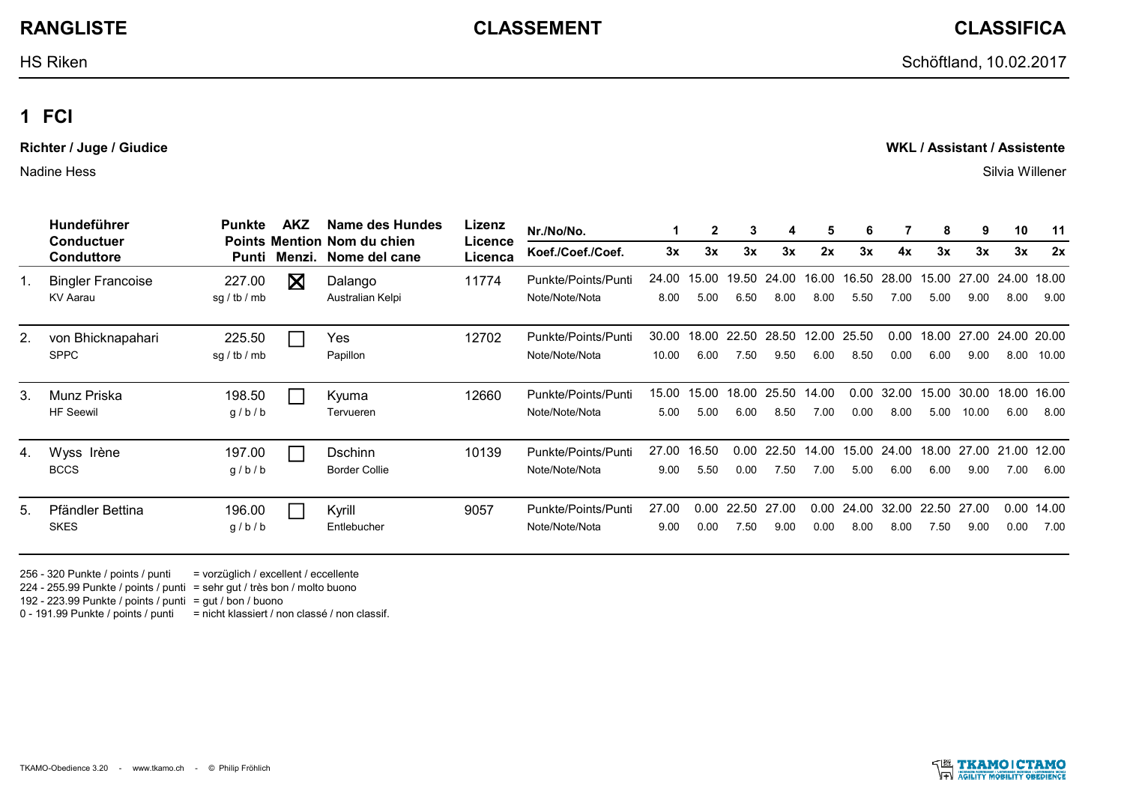HS Riken Schöftland, 10.02.2017

## **1 FCI**

**Richter / Juge / Giudice WKL / Assistant / Assistente**

Nadine Hess Silvia Willener

|    | Hundeführer<br><b>Conductuer</b>     | Punkte                 | <b>AKZ</b> | Name des Hundes<br><b>Points Mention Nom du chien</b> | Lizenz<br>Licence | Nr./No/No.                            |                | $\mathbf{2}$  | 3                | 4                   | 5             | 6             |               | 8             | 9              | 10                  | 11            |
|----|--------------------------------------|------------------------|------------|-------------------------------------------------------|-------------------|---------------------------------------|----------------|---------------|------------------|---------------------|---------------|---------------|---------------|---------------|----------------|---------------------|---------------|
|    | <b>Conduttore</b>                    | Punti                  | Menzi.     | Nome del cane                                         | Licenca           | Koef./Coef./Coef.                     | 3x             | 3x            | 3x               | 3x                  | 2x            | 3x            | 4x            | 3x            | 3x             | 3x                  | 2x            |
|    | <b>Bingler Francoise</b><br>KV Aarau | 227.00<br>sg / tb / mb | ⊠          | Dalango<br>Australian Kelpi                           | 11774             | Punkte/Points/Punti<br>Note/Note/Nota | 24.00<br>8.00  | 15.00<br>5.00 | 6.50             | 19.50 24.00<br>8.00 | 16.00<br>8.00 | 16.50<br>5.50 | 28.00<br>7.00 | 15.00<br>5.00 | 27.00<br>9.00  | 24.00<br>8.00       | 18.00<br>9.00 |
|    | von Bhicknapahari<br><b>SPPC</b>     | 225.50<br>sg / tb / mb |            | <b>Yes</b><br>Papillon                                | 12702             | Punkte/Points/Punti<br>Note/Note/Nota | 30.00<br>10.00 | 18.00<br>6.00 | 22.50<br>7.50    | 28.50<br>9.50       | 12.00<br>6.00 | 25.50<br>8.50 | 0.00<br>0.00  | 18.00<br>6.00 | 27.00<br>9.00  | 24.00 20.00<br>8.00 | 10.00         |
|    | Munz Priska<br><b>HF</b> Seewil      | 198.50<br>g/b/b        |            | Kyuma<br>Tervueren                                    | 12660             | Punkte/Points/Punti<br>Note/Note/Nota | 15.00<br>5.00  | 15.00<br>5.00 | 18.00<br>6.00    | 25.50<br>8.50       | 14.00<br>7.00 | 0.00<br>0.00  | 32.00<br>8.00 | 15.00<br>5.00 | 30.00<br>10.00 | 18.00<br>6.00       | 16.00<br>8.00 |
|    | Wyss Irène<br><b>BCCS</b>            | 197.00<br>g/b/b        |            | <b>Dschinn</b><br><b>Border Collie</b>                | 10139             | Punkte/Points/Punti<br>Note/Note/Nota | 27.00<br>9.00  | 16.50<br>5.50 | $0.00 -$<br>0.00 | 22.50<br>7.50       | 14.00<br>7.00 | 15.00<br>5.00 | 24.00<br>6.00 | 18.00<br>6.00 | 27.00<br>9.00  | 21.00<br>7.00       | 12.00<br>6.00 |
| 5. | Pfändler Bettina<br><b>SKES</b>      | 196.00<br>g/b/b        |            | Kyrill<br>Entlebucher                                 | 9057              | Punkte/Points/Punti<br>Note/Note/Nota | 27.00<br>9.00  | 0.00<br>0.00  | 22.50<br>7.50    | 27.00<br>9.00       | 0.00<br>0.00  | 24.00<br>8.00 | 32.00<br>8.00 | 22.50<br>7.50 | 27.00<br>9.00  | 0.00<br>0.00        | 14.00<br>7.00 |

256 - 320 Punkte / points / punti = vorzüglich / excellent / eccellente 224 - 255.99 Punkte / points / punti = sehr gut / très bon / molto buono 192 - 223.99 Punkte / points / punti = gut / bon / buono 0 - 191.99 Punkte / points / punti = nicht klassiert / non classé / non classif.



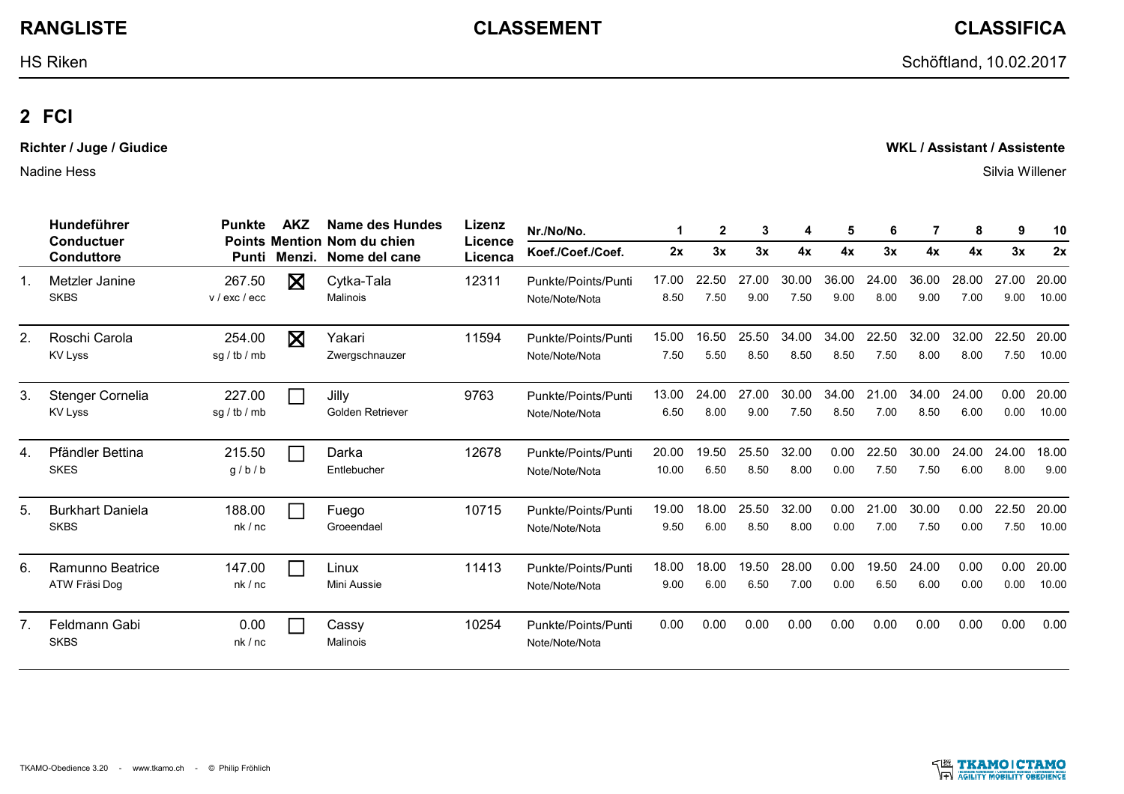**RANGLISTE CLASSEMENT CLASSIFICA**

HS Riken Schöftland, 10.02.2017

# **2 FCI**

**Richter / Juge / Giudice WKL / Assistant / Assistente**

Nadine Hess Silvia Willener

|                | Hundeführer<br>Conductuer<br><b>Conduttore</b> | Punkte                  | <b>AKZ</b>                  | Name des Hundes<br><b>Points Mention Nom du chien</b> | Lizenz<br>Licence | Nr./No/No.                            |                | $\mathbf{2}$  | 3             | 4             | 5             | 6             |               | 8             | 9             | 10             |
|----------------|------------------------------------------------|-------------------------|-----------------------------|-------------------------------------------------------|-------------------|---------------------------------------|----------------|---------------|---------------|---------------|---------------|---------------|---------------|---------------|---------------|----------------|
|                |                                                | Punti                   | Menzi.                      | Nome del cane                                         | Licenca           | Koef./Coef./Coef.                     | 2x             | 3x            | 3x            | 4x            | 4x            | 3x            | 4x            | 4x            | 3x            | 2x             |
| 1.             | Metzler Janine<br><b>SKBS</b>                  | 267.50<br>v / exc / ecc | X                           | Cytka-Tala<br>Malinois                                | 12311             | Punkte/Points/Punti<br>Note/Note/Nota | 17.00<br>8.50  | 22.50<br>7.50 | 27.00<br>9.00 | 30.00<br>7.50 | 36.00<br>9.00 | 24.00<br>8.00 | 36.00<br>9.00 | 28.00<br>7.00 | 27.00<br>9.00 | 20.00<br>10.00 |
| 2.             | Roschi Carola<br><b>KV Lyss</b>                | 254.00<br>sg / tb / mb  | $\boxtimes$                 | Yakari<br>Zwergschnauzer                              | 11594             | Punkte/Points/Punti<br>Note/Note/Nota | 15.00<br>7.50  | 16.50<br>5.50 | 25.50<br>8.50 | 34.00<br>8.50 | 34.00<br>8.50 | 22.50<br>7.50 | 32.00<br>8.00 | 32.00<br>8.00 | 22.50<br>7.50 | 20.00<br>10.00 |
| 3.             | Stenger Cornelia<br><b>KV Lyss</b>             | 227.00<br>sq / tb / mb  | <b>Tara</b>                 | Jilly<br>Golden Retriever                             | 9763              | Punkte/Points/Punti<br>Note/Note/Nota | 13.00<br>6.50  | 24.00<br>8.00 | 27.00<br>9.00 | 30.00<br>7.50 | 34.00<br>8.50 | 21.00<br>7.00 | 34.00<br>8.50 | 24.00<br>6.00 | 0.00<br>0.00  | 20.00<br>10.00 |
| 4.             | Pfändler Bettina<br><b>SKES</b>                | 215.50<br>q/b/b         | $\mathcal{L}^{\mathcal{A}}$ | Darka<br>Entlebucher                                  | 12678             | Punkte/Points/Punti<br>Note/Note/Nota | 20.00<br>10.00 | 19.50<br>6.50 | 25.50<br>8.50 | 32.00<br>8.00 | 0.00<br>0.00  | 22.50<br>7.50 | 30.00<br>7.50 | 24.00<br>6.00 | 24.00<br>8.00 | 18.00<br>9.00  |
| 5.             | <b>Burkhart Daniela</b><br><b>SKBS</b>         | 188.00<br>nk/nc         | $\mathbf{I}$                | Fuego<br>Groeendael                                   | 10715             | Punkte/Points/Punti<br>Note/Note/Nota | 19.00<br>9.50  | 18.00<br>6.00 | 25.50<br>8.50 | 32.00<br>8.00 | 0.00<br>0.00  | 21.00<br>7.00 | 30.00<br>7.50 | 0.00<br>0.00  | 22.50<br>7.50 | 20.00<br>10.00 |
| 6.             | Ramunno Beatrice<br>ATW Fräsi Dog              | 147.00<br>nk/nc         | $\Box$                      | Linux<br>Mini Aussie                                  | 11413             | Punkte/Points/Punti<br>Note/Note/Nota | 18.00<br>9.00  | 18.00<br>6.00 | 19.50<br>6.50 | 28.00<br>7.00 | 0.00<br>0.00  | 19.50<br>6.50 | 24.00<br>6.00 | 0.00<br>0.00  | 0.00<br>0.00  | 20.00<br>10.00 |
| 7 <sub>1</sub> | Feldmann Gabi<br><b>SKBS</b>                   | 0.00<br>nk/nc           | $\mathbf{I}$                | Cassy<br>Malinois                                     | 10254             | Punkte/Points/Punti<br>Note/Note/Nota | 0.00           | 0.00          | 0.00          | 0.00          | 0.00          | 0.00          | 0.00          | 0.00          | 0.00          | 0.00           |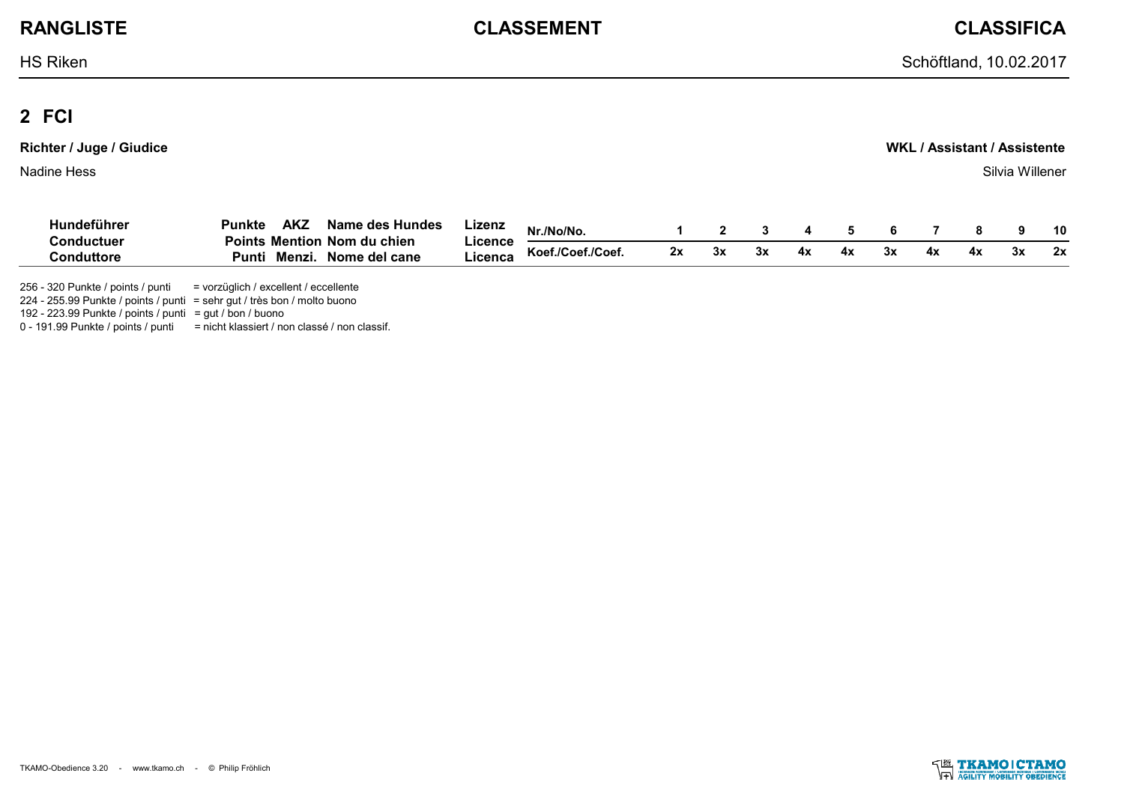**RANGLISTE CLASSEMENT CLASSIFICA**

## **2 FCI**

| <b>Richter / Juge / Giudice</b> | WKL / Assistant / Assistente |
|---------------------------------|------------------------------|
| Nadine Hess                     | Silvia Willener              |

| Hundeführer | AK.<br>Punkte<br>Name des Hundes        | ∟izenz  | :/No/No.          |   |     |    |  |  | 10 |
|-------------|-----------------------------------------|---------|-------------------|---|-----|----|--|--|----|
| Conductuei  | ı Nom du chien<br><b>Points Mention</b> | Licence |                   |   | 2v  |    |  |  |    |
| `onduttor.  | <b>Menz</b> ı<br>Nome del cane<br>Punti | ∟icenca | Koef./Coef./Coef. | ◡ | ◡́∧ | 4х |  |  | 2x |

256 - 320 Punkte / points / punti = vorzüglich / excellent / eccellente

224 - 255.99 Punkte / points / punti = sehr gut / très bon / molto buono

192 - 223.99 Punkte / points / punti = gut / bon / buono

0 - 191.99 Punkte / points / punti = nicht klassiert / non classé / non classif.